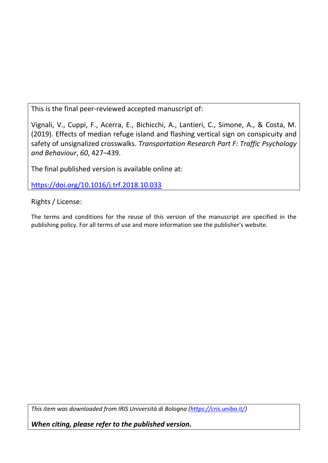This is the final peer-reviewed accepted manuscript of:

Vignali, V., Cuppi, F., Acerra, E., Bichicchi, A., Lantieri, C., Simone, A., & Costa, M. (2019). Effects of median refuge island and flashing vertical sign on conspicuity and safety of unsignalized crosswalks. *Transportation Research Part F: Traffic Psychology and Behaviour*, *60*, 427–439.

The final published version is available online at:

<https://doi.org/10.1016/j.trf.2018.10.033>

Rights / License:

The terms and conditions for the reuse of this version of the manuscript are specified in the publishing policy. For all terms of use and more information see the publisher's website.

*This item was downloaded from IRIS Università di Bologna [\(https://cris.unibo.it/\)](https://cris.unibo.it/)*

*When citing, please refer to the published version.*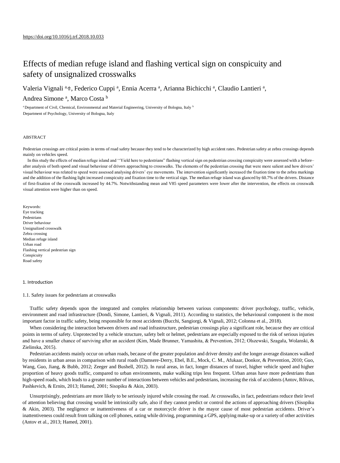# Effects of median refuge island and flashing vertical sign on conspicuity and safety of unsignalized crosswalks

Valeria Vignali a, Federico Cuppi a, Ennia Acerra a, Arianna Bichicchi a, Claudio Lantieri a, Andrea Simone<sup>a</sup>, Marco Costa b

<sup>a</sup>Department of Civil, Chemical, Environmental and Material Engineering, University of Bologna, Italy <sup>b</sup> Department of Psychology, University of Bologna, Italy

#### ABSTRACT

Pedestrian crossings are critical points in terms of road safety because they tend to be characterized by high accident rates. Pedestrian safety at zebra crossings depends mainly on vehicles speed.

In this study the effects of median refuge island and "Yield here to pedestrians" flashing vertical sign on pedestrian crossing conspicuity were assessed with a before– after analysis of both speed and visual behaviour of drivers approaching to crosswalks. The elements of the pedestrian crossing that were more salient and how drivers' visual behaviour was related to speed were assessed analysing drivers' eye movements. The intervention significantly increased the fixation time to the zebra markings and the addition of the flashing light increased conspicuity and fixation time to the vertical sign. The median refuge island was glanced by 60.7% of the drivers. Distance of first-fixation of the crosswalk increased by 44.7%. Notwithstanding mean and V85 speed parameters were lower after the intervention, the effects on crosswalk visual attention were higher than on speed.

Keywords: Eye tracking Pedestrians Driver behaviour Unsignalized crosswalk Zebra crossing Median refuge island Urban road Flashing vertical pedestrian sign **Conspicuity** Road safety

#### 1. Introduction

# 1.1. Safety issues for pedestrians at crosswalks

Traffic safety depends upon the integrated and complex relationship between various components: driver psychology, traffic, vehicle, environment and road infrastructure (Dondi, Simone, Lantieri, & Vignali, 2011). According to statistics, the behavioural component is the most important factor in traffic safety, being responsible for most accidents (Bucchi, Sangiorgi, & Vignali, 2012; Colonna et al., 2018).

When considering the interaction between drivers and road infrastructure, pedestrian crossings play a significant role, because they are critical points in terms of safety. Unprotected by a vehicle structure, safety belt or helmet, pedestrians are especially exposed to the risk of serious injuries and have a smaller chance of surviving after an accident (Kim, Made Brunner, Yamashita, & Prevention, 2012; Olszewski, Szagała, Wolanski, & Zielinska, 2015).

Pedestrian accidents mainly occur on urban roads, because of the greater population and driver density and the longer average distances walked by residents in urban areas in comparison with rural roads (Damsere-Derry, Ebel, B.E., Mock, C. M., Afukaar, Donkor, & Prevention, 2010; Guo, Wang, Guo, Jiang, & Bubb, 2012; Zeeger and Bushell, 2012). In rural areas, in fact, longer distances of travel, higher vehicle speed and higher proportion of heavy goods traffic, compared to urban environments, make walking trips less frequent. Urban areas have more pedestrians than high-speed roads, which leads to a greater number of interactions between vehicles and pedestrians, increasing the risk of accidents (Antov, Rõivas, Pashkevich, & Ernits, 2013; Hamed, 2001; Sisopiku & Akin, 2003).

Unsurprisingly, pedestrians are more likely to be seriously injured while crossing the road. At crosswalks, in fact, pedestrians reduce their level of attention believing that crossing would be intrinsically safe, also if they cannot predict or control the actions of approaching drivers (Sisopiku & Akin, 2003). The negligence or inattentiveness of a car or motorcycle driver is the mayor cause of most pedestrian accidents. Driver's inattentiveness could result from talking on cell phones, eating while driving, programming a GPS, applying make-up or a variety of other activities (Antov et al., 2013; Hamed, 2001).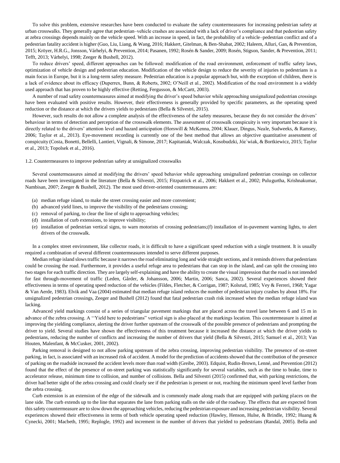To solve this problem, extensive researches have been conducted to evaluate the safety countermeasures for increasing pedestrian safety at urban crosswalks. They generally agree that pedestrian–vehicle crashes are associated with a lack of driver's compliance and that pedestrian safety at zebra crossings depends mainly on the vehicle speed. With an increase in speed, in fact, the probability of a vehicle–pedestrian conflict and of a pedestrian fatality accident is higher (Guo, Liu, Liang, & Wang, 2016; Hakkert, Gitelman, & Ben-Shabat, 2002; Haleem, Alluri, Gan, & Prevention, 2015; Kröyer, H.R.G., Jonsson, Várhelyi, & Prevention, 2014; Pasanen, 1992; Rosén & Sander, 2009; Rosén, Stigson, Sander, & Prevention, 2011; Tefft, 2013; Várhelyi, 1998; Zeeger & Bushell, 2012).

To reduce drivers' speed, different approaches can be followed: modification of the road environment, enforcement of traffic safety laws, optimization of vehicle design and pedestrian education. Modification of the vehicle design to reduce the severity of injuries to pedestrians is a main focus in Europe, but it is a long-term safety measure. Pedestrian education is a popular approach but, with the exception of children, there is a lack of evidence about its efficacy (Duperrex, Bunn, & Roberts, 2002; O'Neill et al., 2002). Modification of the road environment is a widely used approach that has proven to be highly effective (Retting, Fergusson, & McCartt, 2003).

A number of road safety countermeasures aimed at modifying the driver's speed behavior while approaching unsignalized pedestrian crossings have been evaluated with positive results. However, their effectiveness is generally provided by specific parameters, as the operating speed reduction or the distance at which the drivers yields to pedestrians (Bella & Silvestri, 2015).

However, such results do not allow a complete analysis of the effectiveness of the safety measures, because they do not consider the drivers' behaviour in terms of detection and perception of the crosswalk elements. The assessment of crosswalk conspicuity is very important because it is directly related to the drivers' attention level and hazard anticipation (Horswill & McKenna, 2004; Klauer, Dingus, Neale, Sudweeks, & Ramsey, 2006; Taylor et al., 2013). Eye-movement recording is currently one of the best method that allows an objective quantitative assessment of conspicuity (Costa, Bonetti, Bellelli, Lantieri, Vignali, & Simone, 2017; Kapitaniak, Walczak, Kosobudzki, Józ´wiak, & Bortkiewicz, 2015; Taylor et al., 2013; Topolsek et al., 2016).

1.2. Countermeasures to improve pedestrian safety at unsignalized crosswalks

Several countermeasures aimed at modifying the drivers' speed behavior while approaching unsignalized pedestrian crossings on collector roads have been investigated in the literature (Bella & Silvestri, 2015; Fitzpatrick et al., 2006; Hakkert et al., 2002; Pulugurtha, Krishnakumar, Nambisan, 2007; Zeeger & Bushell, 2012). The most used driver-oriented countermeasures are:

- (a) median refuge island, to make the street crossing easier and more convenient;
- (b) advanced yield lines, to improve the visibility of the pedestrians crossing;
- (c) removal of parking, to clear the line of sight to approaching vehicles;
- (d) installation of curb extensions, to improve visibility;
- (e) installation of pedestrian vertical signs, to warn motorists of crossing pedestrians;(f) installation of in-pavement warning lights, to alert drivers of the crosswalk.

In a complex street environment, like collector roads, it is difficult to have a significant speed reduction with a single treatment. It is usually required a combination of several different countermeasures intended to serve different purposes.

Median refuge island slows traffic because it narrows the road eliminating long and wide straight sections, and it reminds drivers that pedestrians could be crossing the road. Furthermore, it provides a useful refuge area to pedestrians that can stop in the island, and can split the crossing into two stages for each traffic direction. They are largely self-explaining and have the ability to create the visual impression that the road is not intended for fast through-movement of traffic (Leden, Gårder, & Johansson, 2006; Martin, 2006; Sanca, 2002). Several experiences showed their effectiveness in terms of operating speed reduction of the vehicles (Fildes, Fletcher, & Corrigan, 1987; Kolsrud, 1985; Vey & Ferreri, 1968; Yagar & Van Aerde, 1983). Elvik and Vaa (2004) estimated that median refuge island reduces the number of pedestrian injury crashes by about 18%. For unsignalized pedestrian crossings, Zeeger and Bushell (2012) found that fatal pedestrian crash risk increased when the median refuge island was lacking.

Advanced yield markings consist of a series of triangular pavement markings that are placed across the travel lane between 6 and 15 m in advance of the zebra crossing. A ''Yield here to pedestrians" vertical sign is also placed at the markings location. This countermeasure is aimed at improving the yielding compliance, alerting the driver further upstream of the crosswalk of the possible presence of pedestrians and prompting the driver to yield. Several studies have shown the effectiveness of this treatment because it increased the distance at which the driver yields to pedestrians, reducing the number of conflicts and increasing the number of drivers that yield (Bella & Silvestri, 2015; Samuel et al., 2013; Van Houten, Malenfant, & McCusker, 2001, 2002).

Parking removal is designed to not allow parking upstream of the zebra crossing, improving pedestrian visibility. The presence of on-street parking, in fact, is associated with an increased risk of accident. A model for the prediction of accidents showed that the contribution of the presence of parking on the roadside increased the accident levels more than road width (Greibe, 2003). Edquist, Rudin-Brown, Lenné, and Prevention (2012) found that the effect of the presence of on-street parking was statistically significantly for several variables, such as the time to brake, time to accelerator release, minimum time to collision, and number of collisions. Bella and Silvestri (2015) confirmed that, with parking restrictions, the driver had better sight of the zebra crossing and could clearly see if the pedestrian is present or not, reaching the minimum speed level farther from the zebra crossing.

Curb extension is an extension of the edge of the sidewalk and is commonly made along roads that are equipped with parking places on the lane side. The curb extends up to the line that separates the lane from parking stalls on the side of the roadway. The effects that are expected from this safety countermeasure are to slow down the approaching vehicles, reducing the pedestrian exposure and increasing pedestrian visibility. Several experiences showed their effectiveness in terms of both vehicle operating speed reduction (Hawley, Henson, Hulse, & Brindle, 1992; Huang & Cynecki, 2001; Macbeth, 1995; Replogle, 1992) and increment in the number of drivers that yielded to pedestrians (Randal, 2005). Bella and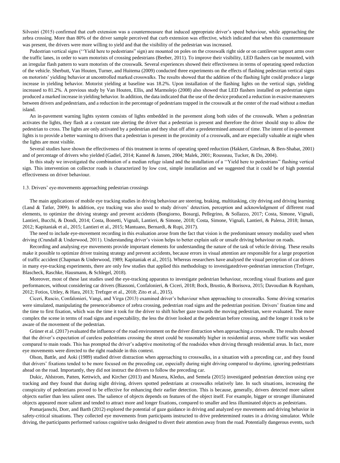Silvestri (2015) confirmed that curb extension was a countermeasure that induced appropriate driver's speed behaviour, while approaching the zebra crossing. More than 80% of the driver sample perceived that curb extension was effective, which indicated that when this countermeasure was present, the drivers were more willing to yield and that the visibility of the pedestrian was increased.

Pedestrian vertical signs (''Yield here to pedestrians" sign) are mounted on poles on the crosswalk right side or on cantilever support arms over the traffic lanes, in order to warn motorists of crossing pedestrians (Beeber, 2011). To improve their visibility, LED flashers can be mounted, with an irregular flash pattern to warn motorists of the crosswalk. Several experiences showed their effectiveness in terms of operating speed reduction of the vehicle. Sherbutt, Van Houten, Turner, and Huitema (2009) conducted three experiments on the effects of flashing pedestrian vertical signs on motorists' yielding behavior at uncontrolled marked crosswalks. The results showed that the addition of the flashing light could produce a large increase in yielding behavior. Motorist yielding at baseline was 18.2%. Upon installation of the flashing lights on the vertical sign, yielding increased to 81.2%. A previous study by Van Houten, Ellis, and Marmolejo (2008) also showed that LED flashers installed on pedestrian signs produced a marked increase in yielding behavior. In addition, the data indicated that the use of the device produced a reduction in evasive maneuvers between drivers and pedestrians, and a reduction in the percentage of pedestrians trapped in the crosswalk at the center of the road without a median island.

An in-pavement warning lights system consists of lights embedded in the pavement along both sides of the crosswalk. When a pedestrian activates the lights, they flash at a constant rate alerting the driver that a pedestrian is present and therefore the driver should stop to allow the pedestrian to cross. The lights are only activated by a pedestrian and they shut off after a predetermined amount of time. The intent of in-pavement lights is to provide a better warning to drivers that a pedestrian is present in the proximity of a crosswalk, and are especially valuable at night when the lights are most visible.

Several studies have shown the effectiveness of this treatment in terms of operating speed reduction (Hakkert, Gitelman, & Ben-Shabat, 2001) and of percentage of drivers who yielded (Gadiel, 2014; Kannel & Jansen, 2004; Malek, 2001; Rousseau, Tucker, & Do, 2004).

In this study we investigated the combination of a median refuge island and the installation of a ''Yield here to pedestrians" flashing vertical sign. This intervention on collector roads is characterized by low cost, simple installation and we suggested that it could be of high potential effectiveness on driver behaviour.

#### 1.3. Drivers' eye-movements approaching pedestrian crossings

The main applications of mobile eye tracking studies in driving behaviour are steering, braking, multitasking, city driving and driving learning (Land & Tatler, 2009). In addition, eye tracking was also used to study drivers' detection, perception and acknowledgment of different road elements, to optimize the driving strategy and prevent accidents (Bongiorno, Bosurgi, Pellegrino, & Sollazzo, 2017; Costa, Simone, Vignali, Lantieri, Bucchi, & Dondi, 2014; Costa, Bonetti, Vignali, Lantieri, & Simone, 2018; Costa, Simone, Vignali, Lantieri, & Palena, 2018; Inman, 2012; Kapitaniak et al., 2015; Lantieri et al., 2015; Mantuano, Bernardi, & Rupi, 2017).

The need to include eye-movement recording in this evaluation arose from the fact that vision is the predominant sensory modality used when driving (Crundall & Underwood, 2011). Understanding driver's vision helps to better explain safe or unsafe driving behaviour on roads.

Recording and analysing eye movements provide important elements for understanding the nature of the task of vehicle driving. These results make it possible to optimize driver training strategy and prevent accidents, because errors in visual attention are responsible for a large proportion of traffic accident (Chapman & Underwood, 1989; Kapitaniak et al., 2015). Whereas researchers have analysed the visual perception of car drivers in many eye-tracking experiments, there are only few studies that applied this methodology to investigatedriver-pedestrian interaction (Trefzger, Blascheck, Raschke, Hausmann, & Schlegel, 2018).

Moreover, most of these last studies used the eye-tracking apparatus to investigate pedestrian behaviour, recording visual fixations and gaze performances, without considering car drivers (Biassoni, Confalonieri, & Ciceri, 2018; Bock, Brustio, & Borisova, 2015; Davoudian & Raynham, 2012; Fotios, Uttley, & Hara, 2013; Trefzger et al., 2018; Zito et al., 2015).

Ciceri, Ruscio, Confalonieri, Vangi, and Virga (2013) examined driver's behaviour when approaching to crosswalks. Some driving scenarios were simulated, manipulating the presence/absence of zebra crossing, pedestrian road signs and the pedestrian position. Drivers' fixation time and the time to first fixation, which was the time it took for the driver to shift his/her gaze towards the moving pedestrian, were evaluated. The more complex the scene in terms of road signs and expectability, the less the driver looked at the pedestrian before crossing, and the longer it took to be aware of the movement of the pedestrian.

Grüner et al. (2017) evaluated the influence of the road environment on the driver distraction when approaching a crosswalk. The results showed that the driver's expectation of careless pedestrians crossing the street could be reasonably higher in residential areas, where traffic was weaker compared to main roads. This has prompted the driver's adaptive monitoring of the roadsides when driving through residential areas. In fact, more eye movements were directed to the right roadside in this context.

Olson, Battle, and Aoki (1989) studied driver distraction when approaching to crosswalks, in a situation with a preceding car, and they found that drivers' fixations tended to be more focused on the preceding car, especially during night driving compared to daytime, ignoring pedestrians ahead on the road. Importantly, they did not instruct the drivers to follow the preceding car.

Dukic, Ahlstrom, Patten, Kettwich, and Kircher (2013) and Maxera, Kledus, and Semela (2015) investigated pedestrian detection using eye tracking and they found that during night driving, drivers spotted pedestrians at crosswalks relatively late. In such situations, increasing the conspicuity of pedestrians proved to be effective for enhancing their earlier detection. This is because, generally, drivers detected more salient objects earlier than less salient ones. The salience of objects depends on features of the object itself. For example, bigger or stronger illuminated objects appeared more salient and tended to attract more and longer fixations, compared to smaller and less illuminated objects as pedestrians.

Pomarjanschi, Dorr, and Barth (2012) explored the potential of gaze guidance in driving and analyzed eye movements and driving behavior in safety-critical situations. They collected eye movements from participants instructed to drive predetermined routes in a driving simulator. While driving, the participants performed various cognitive tasks designed to divert their attention away from the road. Potentially dangerous events, such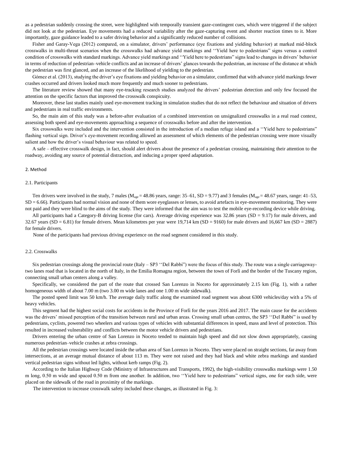as a pedestrian suddenly crossing the street, were highlighted with temporally transient gaze-contingent cues, which were triggered if the subject did not look at the pedestrian. Eye movements had a reduced variability after the gaze-capturing event and shorter reaction times to it. More importantly, gaze guidance leaded to a safer driving behavior and a significantly reduced number of collisions.

Fisher and Garay-Vega (2012) compared, on a simulator, drivers' performance (eye fixations and yielding behavior) at marked mid-block crosswalks in multi-threat scenarios when the crosswalks had advance yield markings and ''Yield here to pedestrians" signs versus a control condition of crosswalks with standard markings. Advance yield markings and ''Yield here to pedestrians" signs lead to changes in drivers' behavior in terms of reduction of pedestrian–vehicle conflicts and an increase of drivers' glances towards the pedestrian, an increase of the distance at which the pedestrian was first glanced, and an increase of the likelihood of yielding to the pedestrian.

Gómez et al. (2013), studying the driver's eye fixations and yielding behavior on a simulator, confirmed that with advance yield markings fewer crashes occurred and drivers looked much more frequently and much sooner to pedestrians.

The literature review showed that many eye-tracking research studies analyzed the drivers' pedestrian detection and only few focused the attention on the specific factors that improved the crosswalk conspicuity.

Moreover, these last studies mainly used eye-movement tracking in simulation studies that do not reflect the behaviour and situation of drivers and pedestrians in real traffic environments.

So, the main aim of this study was a before-after evaluation of a combined intervention on unsignalized crosswalks in a real road context, assessing both speed and eye-movements approaching a sequence of crosswalks before and after the intervention.

Six crosswalks were included and the intervention consisted in the introduction of a median refuge island and a ''Yield here to pedestrians" flashing vertical sign. Driver's eye-movement recording allowed an assessment of which elements of the pedestrian crossing were more visually salient and how the driver's visual behaviour was related to speed.

A safe – effective crosswalk design, in fact, should alert drivers about the presence of a pedestrian crossing, maintaining their attention to the roadway, avoiding any source of potential distraction, and inducing a proper speed adaptation.

#### 2. Method

## 2.1. Participants

Ten drivers were involved in the study, 7 males ( $M_{\text{age}} = 48.86$  years, range:  $35-61$ , SD = 9.77) and 3 females ( $M_{\text{age}} = 48.67$  years, range:  $41-53$ , SD = 6.66). Participants had normal vision and none of them wore eyeglasses or lenses, to avoid artefacts in eye-movement monitoring. They were not paid and they were blind to the aims of the study. They were informed that the aim was to test the mobile eye-recording device while driving.

All participants had a Category-B driving license (for cars). Average driving experience was 32.86 years (SD = 9.17) for male drivers, and 32.67 years (SD = 6.81) for female drivers. Mean kilometres per year were 19,714 km (SD = 9160) for male drivers and 16,667 km (SD = 2887) for female drivers.

None of the participants had previous driving experience on the road segment considered in this study.

# 2.2. Crosswalks

Six pedestrian crossings along the provincial route (Italy – SP3 ''Del Rabbi") were the focus of this study. The route was a single carriagewaytwo lanes road that is located in the north of Italy, in the Emilia Romagna region, between the town of Forlì and the border of the Tuscany region, connecting small urban centers along a valley.

Specifically, we considered the part of the route that crossed San Lorenzo in Noceto for approximately 2.15 km (Fig. 1), with a rather homogeneous width of about 7.00 m (two 3.00 m wide lanes and one 1.00 m wide sidewalk).

The posted speed limit was 50 km/h. The average daily traffic along the examined road segment was about 6300 vehicles/day with a 5% of heavy vehicles.

This segment had the highest social costs for accidents in the Province of Forlì for the years 2016 and 2017. The main cause for the accidents was the drivers' missed perception of the transition between rural and urban areas. Crossing small urban centres, the SP3 "Del Rabbi" is used by pedestrians, cyclists, powered two wheelers and various types of vehicles with substantial differences in speed, mass and level of protection. This resulted in increased vulnerability and conflicts between the motor vehicle drivers and pedestrians.

Drivers entering the urban centre of San Lorenzo in Noceto tended to maintain high speed and did not slow down appropriately, causing numerous pedestrian–vehicle crashes at zebra crossings.

All the pedestrian crossings were located inside the urban area of San Lorenzo in Noceto. They were placed on straight sections, far away from intersections, at an average mutual distance of about 113 m. They were not raised and they had black and white zebra markings and standard vertical pedestrian signs without led lights, without kerb ramps (Fig. 2).

According to the Italian Highway Code (Ministry of Infrastructures and Transports, 1992), the high-visibility crosswalks markings were 1.50 m long, 0.50 m wide and spaced 0.50 m from one another. In addition, two ''Yield here to pedestrians" vertical signs, one for each side, were placed on the sidewalk of the road in proximity of the markings.

The intervention to increase crosswalk safety included these changes, as illustrated in Fig. 3: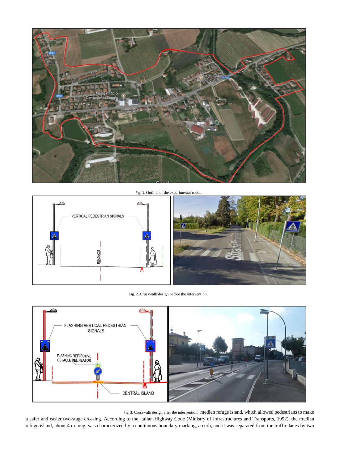

Fig. 1. Outline of the experimental route.



Fig. 2. Crosswalk design before the intervention.



Fig. 3. Crosswalk design after the intervention. median refuge island, which allowed pedestrians to make a safer and easier two-stage crossing. According to the Italian Highway Code (Ministry of Infrastructures and Transports, 1992), the median refuge island, about 4 m long, was characterized by a continuous boundary marking, a curb, and it was separated from the traffic lanes by two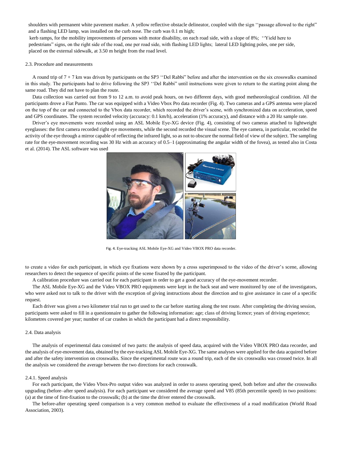shoulders with permanent white pavement marker. A yellow reflective obstacle delineator, coupled with the sign ''passage allowed to the right" and a flashing LED lamp, was installed on the curb nose. The curb was 0.1 m high;

kerb ramps, for the mobility improvements of persons with motor disability, on each road side, with a slope of 8%; ''Yield here to pedestrians" signs, on the right side of the road, one per road side, with flashing LED lights; lateral LED lighting poles, one per side, placed on the external sidewalk, at 3.50 m height from the road level.

# 2.3. Procedure and measurements

A round trip of 7 + 7 km was driven by participants on the SP3 ''Del Rabbi" before and after the intervention on the six crosswalks examined in this study. The participants had to drive following the SP3 ''Del Rabbi" until instructions were given to return to the starting point along the same road. They did not have to plan the route.

Data collection was carried out from 9 to 12 a.m. to avoid peak hours, on two different days, with good metheorological condition. All the participants drove a Fiat Punto. The car was equipped with a Video Vbox Pro data recorder (Fig. 4). Two cameras and a GPS antenna were placed on the top of the car and connected to the Vbox data recorder, which recorded the driver's scene, with synchronized data on acceleration, speed and GPS coordinates. The system recorded velocity (accuracy: 0.1 km/h), acceleration (1% accuracy), and distance with a 20 Hz sample rate.

Driver's eye movements were recorded using an ASL Mobile Eye-XG device (Fig. 4), consisting of two cameras attached to lightweight eyeglasses: the first camera recorded right eye movements, while the second recorded the visual scene. The eye camera, in particular, recorded the activity of the eye through a mirror capable of reflecting the infrared light, so as not to obscure the normal field of view of the subject. The sampling rate for the eye-movement recording was 30 Hz with an accuracy of 0.5–1 (approximating the angular width of the fovea), as tested also in Costa et al. (2014). The ASL software was used



Fig. 4. Eye-tracking ASL Mobile Eye-XG and Video VBOX PRO data recorder.

to create a video for each participant, in which eye fixations were shown by a cross superimposed to the video of the driver's scene, allowing researchers to detect the sequence of specific points of the scene fixated by the participant.

A calibration procedure was carried out for each participant in order to get a good accuracy of the eye-movement recorder.

The ASL Mobile Eye-XG and the Video VBOX PRO equipments were kept in the back seat and were monitored by one of the investigators, who were asked not to talk to the driver with the exception of giving instructions about the direction and to give assistance in case of a specific request.

Each driver was given a two kilometer trial run to get used to the car before starting along the test route. After completing the driving session, participants were asked to fill in a questionnaire to gather the following information: age; class of driving licence; years of driving experience; kilometres covered per year; number of car crashes in which the participant had a direct responsibility.

## 2.4. Data analysis

The analysis of experimental data consisted of two parts: the analysis of speed data, acquired with the Video VBOX PRO data recorder, and the analysis of eye-movement data, obtained by the eye-tracking ASL Mobile Eye-XG. The same analyses were applied for the data acquired before and after the safety intervention on crosswalks. Since the experimental route was a round trip, each of the six crosswalks was crossed twice. In all the analysis we considered the average between the two directions for each crosswalk.

### 2.4.1. Speed analysis

For each participant, the Video Vbox-Pro output video was analyzed in order to assess operating speed, both before and after the crosswalks upgrading (before–after speed analysis). For each participant we considered the average speed and V85 (85th percentile speed) in two positions: (a) at the time of first-fixation to the crosswalk; (b) at the time the driver entered the crosswalk.

The before-after operating speed comparison is a very common method to evaluate the effectiveness of a road modification (World Road Association, 2003).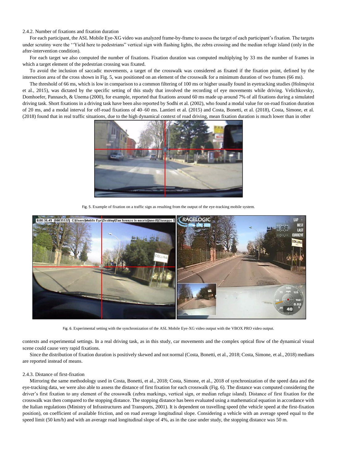# 2.4.2. Number of fixations and fixation duration

For each participant, the ASL Mobile Eye-XG video was analyzed frame-by-frame to assess the target of each participant's fixation. The targets under scrutiny were the ''Yield here to pedestrians" vertical sign with flashing lights, the zebra crossing and the median refuge island (only in the after-intervention condition).

For each target we also computed the number of fixations. Fixation duration was computed multiplying by 33 ms the number of frames in which a target element of the pedestrian crossing was fixated.

To avoid the inclusion of saccadic movements, a target of the crosswalk was considered as fixated if the fixation point, defined by the intersection area of the cross shown in Fig. 5, was positioned on an element of the crosswalk for a minimum duration of two frames (66 ms).

The threshold of 66 ms, which is low in comparison to a common filtering of 100 ms or higher usually found in eyetracking studies (Holmqvist et al., 2015), was dictated by the specific setting of this study that involved the recording of eye movements while driving. Velichkovsky, Domhoefer, Pannasch, & Unema (2000), for example, reported that fixations around 60 ms made up around 7% of all fixations during a simulated driving task. Short fixations in a driving task have been also reported by Sodhi et al. (2002), who found a modal value for on-road fixation duration of 20 ms, and a modal interval for off-road fixations of 40–60 ms. Lantieri et al. (2015) and Costa, Bonetti, et al. (2018), Costa, Simone, et al. (2018) found that in real traffic situations, due to the high dynamical context of road driving, mean fixation duration is much lower than in other



Fig. 5. Example of fixation on a traffic sign as resulting from the output of the eye-tracking mobile system.



Fig. 6. Experimental setting with the synchronization of the ASL Mobile Eye-XG video output with the VBOX PRO video output.

contexts and experimental settings. In a real driving task, as in this study, car movements and the complex optical flow of the dynamical visual scene could cause very rapid fixations.

Since the distribution of fixation duration is positively skewed and not normal (Costa, Bonetti, et al., 2018; Costa, Simone, et al., 2018) medians are reported instead of means.

## 2.4.3. Distance of first-fixation

Mirroring the same methodology used in Costa, Bonetti, et al., 2018; Costa, Simone, et al., 2018 of synchronization of the speed data and the eye-tracking data, we were also able to assess the distance of first fixation for each crosswalk (Fig. 6). The distance was computed considering the driver's first fixation to any element of the crosswalk (zebra markings, vertical sign, or median refuge island). Distance of first fixation for the crosswalk was then compared to the stopping distance. The stopping distance has been evaluated using a mathematical equation in accordance with the Italian regulations (Ministry of Infrastructures and Transports, 2001). It is dependent on travelling speed (the vehicle speed at the first-fixation position), on coefficient of available friction, and on road average longitudinal slope. Considering a vehicle with an average speed equal to the speed limit (50 km/h) and with an average road longitudinal slope of 4%, as in the case under study, the stopping distance was 50 m.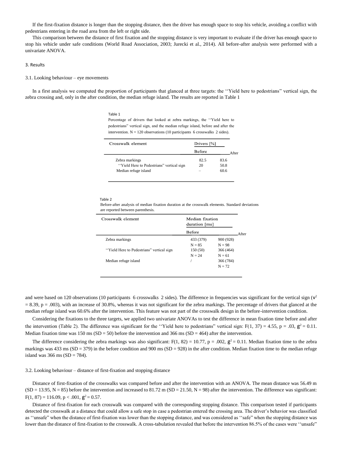If the first-fixation distance is longer than the stopping distance, then the driver has enough space to stop his vehicle, avoiding a conflict with pedestrians entering in the road area from the left or right side.

This comparison between the distance of first fixation and the stopping distance is very important to evaluate if the driver has enough space to stop his vehicle under safe conditions (World Road Association, 2003; Jurecki et al., 2014). All before-after analysis were performed with a univariate ANOVA.

# 3. Results

## 3.1. Looking behaviour – eye movements

In a first analysis we computed the proportion of participants that glanced at three targets: the "Yield here to pedestrians" vertical sign, the zebra crossing and, only in the after condition, the median refuge island. The results are reported in Table 1

#### Table 1

Percentage of drivers that looked at zebra markings, the ''Yield here to pedestrians" vertical sign, and the median refuge island, before and after the intervention.  $N = 120$  observations (10 participants 6 crosswalks 2 sides).

| Crosswalk element                         | Drivers $[\%]$ |       |
|-------------------------------------------|----------------|-------|
|                                           | <b>Before</b>  | After |
| Zebra markings                            | 82.5           | 83.6  |
| "Yield Here to Pedestrians" vertical sign | 20             | 50.8  |
| Median refuge island                      | -              | 60.6  |

#### Table 2

Before-after analysis of median fixation duration at the crosswalk elements. Standard deviations are reported between parenthesis.

| Crosswalk element                         | Median fixation<br>duration [ms] |           |       |
|-------------------------------------------|----------------------------------|-----------|-------|
|                                           | <b>Before</b>                    |           | After |
| Zebra markings                            | 433 (379)                        | 900 (928) |       |
|                                           | $N = 85$                         | $N = 98$  |       |
| "Yield Here to Pedestrians" vertical sign | 150(50)                          | 366 (464) |       |
|                                           | $N = 24$                         | $N = 61$  |       |
| Median refuge island                      |                                  | 366 (784) |       |
|                                           |                                  | $N = 72$  |       |
|                                           |                                  |           |       |

and were based on 120 observations (10 participants 6 crosswalks 2 sides). The difference in frequencies was significant for the vertical sign ( $v<sup>2</sup>$  $= 8.39$ ,  $p = .003$ ), with an increase of 30.8%, whereas it was not significant for the zebra markings. The percentage of drivers that glanced at the median refuge island was 60.6% after the intervention. This feature was not part of the crosswalk design in the before-intervention condition.

Considering the fixations to the three targets, we applied two univariate ANOVAs to test the difference in mean fixation time before and after the intervention (Table 2). The difference was significant for the "Yield here to pedestrians" vertical sign:  $F(1, 37) = 4.55$ ,  $p = .03$ ,  $g^2 = 0.11$ . Median fixation time was 150 ms (SD = 50) before the intervention and 366 ms (SD = 464) after the intervention.

The difference considering the zebra markings was also significant:  $F(1, 82) = 10.77$ ,  $p = .002$ ,  $g^2 = 0.11$ . Median fixation time to the zebra markings was  $433 \text{ ms}$  (SD = 379) in the before condition and 900 ms (SD = 928) in the after condition. Median fixation time to the median refuge island was  $366 \text{ ms}$  (SD = 784).

# 3.2. Looking behaviour – distance of first-fixation and stopping distance

Distance of first-fixation of the crosswalks was compared before and after the intervention with an ANOVA. The mean distance was 56.49 m  $(SD = 13.95, N = 85)$  before the intervention and increased to 81.72 m  $(SD = 21.50, N = 98)$  after the intervention. The difference was significant:  $F(1, 87) = 116.09, p < .001, g<sup>2</sup> = 0.57.$ 

Distance of first-fixation for each crosswalk was compared with the corresponding stopping distance. This comparison tested if participants detected the crosswalk at a distance that could allow a safe stop in case a pedestrian entered the crossing area. The driver's behavior was classified as ''unsafe" when the distance of first-fixation was lower than the stopping distance, and was considered as ''safe" when the stopping distance was lower than the distance of first-fixation to the crosswalk. A cross-tabulation revealed that before the intervention 86.5% of the cases were "unsafe"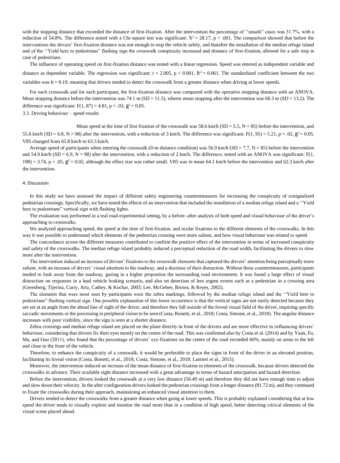with the stopping distance that exceeded the distance of first-fixation. After the intervention the percentage of "unsafe" cases was 31.7%, with a reduction of 54.8%. The difference tested with a Chi-square test was significant:  $X^2 = 28.17$ , p < .001. The comparison showed that before the interventions the drivers' first-fixation distance was not enough to stop the vehicle safely, and thatafter the installation of the median refuge island and of the ''Yield here to pedestrians" flashing sign the crosswalk conspicuity increased and distance of first-fixation, allowed for a safe stop in case of pedestrians.

The influence of operating speed on first-fixation distance was tested with a linear regression. Speed was entered as independent variable and distance as dependent variable. The regression was significant:  $t = 2.005$ ,  $p < 0.001$ ,  $R^2 = 0.061$ . The standardized coefficient between the two variables was  $b = 0.19$ , meaning that drivers tended to detect the crosswalk from a greater distance when driving at lower speeds.

For each crosswalk and for each participant, the first-fixation distance was compared with the operative stopping distance with an ANOVA. Mean stopping distance before the intervention was 74.1 m (SD = 11.5), wheres mean stopping after the intervention was 68.3 m (SD = 13.2). The difference was significant:  $F(1, 87) = 4.81$ ,  $p = .03$ ,  $g^2 = 0.05$ .

3.3. Driving behaviour – speed results

Mean speed at the time of first fixation of the crosswalk was 58.6 km/h (SD = 5.5, N = 85) before the intervention, and 55.6 km/h (SD = 6.8, N = 98) after the intervention, with a reduction of 3 km/h. The difference was significant: F(1, 95) = 5.21, p = .02,  $g^2$  = 0.05. V85 changed from 65.8 km/h to 63.3 km/h.

Average speed of participants when entering the crosswalk (0-m distance condition) was 56.9 km/h (SD = 7.7, N = 85) before the intervention and 54.9 km/h (SD = 6.9, N = 98) after the intervention, with a reduction of 2 km/h. The difference, tested with an ANOVA was significant: F(1, 198) = 3.74, p = .05,  $g^2$  = 0.02, although the effect size was rather small. V85 was in mean 64.1 km/h before the intervention and 62.3 km/h after the intervention.

#### 4. Discussion

In this study we have assessed the impact of different safety engineering countermeasures for increasing the conspicuity of unsignalized pedestrian crossings. Specifically, we have tested the effects of an intervention that included the installation of a median refuge island and a ''Yield here to pedestrians" vertical sign with flashing lights.

The evaluation was performed in a real road experimental setting, by a before–after analysis of both speed and visual behaviour of the driver's approaching to crosswalks.

We analyzed approaching speed, the speed at the time of first-fixation, and ocular fixations to the different elements of the crosswalks. In this way it was possible to understand which elements of the pedestrian crossing were more salient, and how visual behaviour was related to speed.

The concordance across the different measures contributed to confirm the positive effect of the intervention in terms of increased conspicuity and safety of the crosswalks. The median refuge island probably induced a perceptual reduction of the road width, facilitating the drivers to slow more after the intervention.

The intervention induced an increase of drivers' fixations to the crosswalk elements that captured the drivers' attention being perceptually more salient, with an increase of drivers' visual attention to the roadway, and a decrease of their distraction. Without these countermeasures, participants tended to look away from the roadway, gazing in a higher proportion the surrounding road environment. It was found a large effect of visual distraction on responses in a lead vehicle braking scenario, and also on detection of less urgent events such as a pedestrian in a crossing area (Greenberg, Tijerina, Curry, Artz, Cathey, & Kochar, 2003; Lee, McGehee, Brown, & Reyes, 2002).

The elements that were most seen by participants were the zebra markings, followed by the median refuge island and the ''Yield here to pedestrians" flashing vertical sign. One possible explanation of this lower occurrence is that the vertical signs are not easily detected because they are set at an angle from the ahead line of sight of the driver, and therefore they fall outside of the foveal visual field of the driver, requiring specific saccadic movements or the processing in peripheral vision to be seen (Costa, Bonetti, et al., 2018; Costa, Simone, et al., 2018). The angular distance increases with poor visibility, since the sign is seen at a shorter distance.

Zebra crossings and median refuge island are placed on the plane directly in front of the drivers and are more effective in influencing drivers' behaviour, considering that drivers fix their eyes mostly on the centre of the road. This was confirmed also by Costa et al. (2014) and by Yuan, Fu, Ma, and Guo (2011), who found that the percentage of drivers' eye-fixations on the centre of the road exceeded 60%, mainly on areas to the left and close to the front of the vehicle.

Therefore, to enhance the conspicuity of a crosswalk, it would be preferable to place the signs in front of the driver in an elevated position, facilitating its foveal vision (Costa, Bonetti, et al., 2018; Costa, Simone, et al., 2018; Lantieri et al., 2015).

Moreover, the intervention induced an increase of the mean distance of first-fixation to elements of the crosswalk, because drivers detected the crosswalks in advance. Their available sight distance increased with a great advantage in terms of hazard anticipation and hazard detection.

Before the intervention, drivers looked the crosswalk at a very low distance (56.49 m) and therefore they did not have enough time to adjust and slow down their velocity. In the after configuration drivers looked the pedestrian crossings from a longer distance (81.72 m), and they continued to fixate the crosswalks during their approach, maintaining an enhanced visual attention to them.

Drivers tended to detect the crosswalks from a greater distance when going at lower speeds. This is probably explained considering that at low speed the driver tends to visually explore and monitor the road more than in a condition of high speed, better detecting critical elements of the visual scene placed ahead.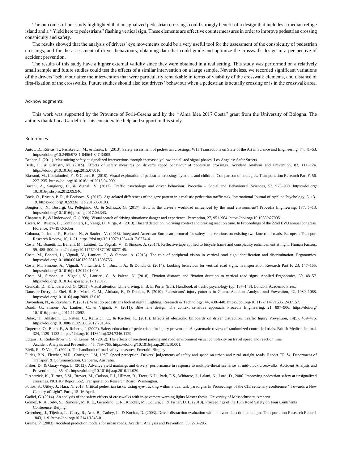The outcomes of our study highlighted that unsignalized pedestrian crossings could strongly benefit of a design that includes a median refuge island and a ''Yield here to pedestrians" flashing vertical sign. These elements are effective countermeasures in order to improve pedestrian crossing conspicuity and safety.

The results showed that the analysis of drivers' eye movements could be a very useful tool for the assessment of the conspicuity of pedestrian crossings, and for the assessment of driver behaviours, obtaining data that could guide and optimize the crosswalk design in a perspective of accident prevention.

The results of this study have a higher external validity since they were obtained in a real setting. This study was performed on a relatively small sample and future studies could test the effects of a similar intervention on a large sample. Nevertheless, we recorded significant variations of the drivers' behaviour after the intervention that were particularly remarkable in terms of visibility of the crosswalk elements, and distance of first-fixation of the crosswalks. Future studies should also test drivers' behaviour when a pedestrian is actually crossing or is in the crosswalk area.

#### Acknowledgments

This work was supported by the Province of Forlì-Cesena and by the ''Alma Idea 2017 Costa" grant from the University of Bologna. The authors thank Luca Gardelli for his considerable help and support in this study.

#### References

Antov, D., Rõivas, T., Pashkevich, M., & Ernits, E. (2013). Safety assessment of pedestrian crossings. WIT Transactions on State of the Art in Science and Engineering, 74, 41–53. [https://doi.org/10.2495/978-1-84564-847-3/005.](https://doi.org/10.2495/978-1-84564-847-3/005)

[Beeber, J. \(2011\).](http://refhub.elsevier.com/S1369-8478(18)30348-6/h0010) [Maximizing safety at signalized intersections through increased yellow and all-red signal phases. Los Angeles: Safer Streets.](http://refhub.elsevier.com/S1369-8478(18)30348-6/h0010)

Bella, F., & Silvestri, M. (2015). Effects of safety measures on driver's speed behaviour at pedestrian crossings. Accident Analysis and Prevention, 83, 111–124. [https://doi.org/10.1016/j.aap.2015.07.016.](https://doi.org/10.1016/j.aap.2015.07.016)

Biassoni, M., Confalonieri, F., & Ciceri, R. (2018). Visual exploration of pedestrian crossings by adults and children: Comparison of strategies. Transportation Research Part F, 56, 227–235[. https://doi.org/10.1016/j.trf.2018.04.009.](https://doi.org/10.1016/j.trf.2018.04.009)

Bucchi, A., Sangiorgi, C., & Vignali, V. (2012). Traffic psychology and driver behaviour. Procedia – Social and Behavioural Sciences, 53, 973–980. [https://doi.org/](https://doi.org/10.1016/j.sbspro.2012.09.946)  [10.1016/j.sbspro.2012.09.946.](https://doi.org/10.1016/j.sbspro.2012.09.946)

Bock, O., Brustio, P. R., & Borisova, S. (2015). Age-related differences of the gaze pattern in a realistic pedestrian traffic task. International Journal of Applied Psychology, 5, 13– 19[. https://doi.org/10.5923/j.ijap.20150501.03.](https://doi.org/10.5923/j.ijap.20150501.03)

Bongiorno, N., Bosurgi, G., Pellegrino, O., & Sollazzo, G. (2017). How is the driver's workload influenced by the road environment? Procedia Engineering, 187, 5–13. [https://doi.org/10.1016/j.proeng.2017.04.343.](https://doi.org/10.1016/j.proeng.2017.04.343)

Chapman, P., & Underwood, G. (1998). Visual search of driving situations: danger and experience. Perception, 27, 951–964[. https://doi.org/10.1068/p270951.](https://doi.org/10.1068/p270951)

Ciceri, M., Ruscio, D., Confalonieri, F., Vangi, D., Virga, A. (2013). Hazard detection in driving context and braking reaction time. In Proceedings of the 22nd EVU annual congress. Florence, 17–19 October.

Colonna, P., Intini, P., Berloco, N., & Ranieri, V. (2018). Integrated American-European protocol for safety interventions on existing two-lane rural roads. European Transport Research Review, 10, 1–21[. https://doi.org/10.1007/s12544-017-0274-4.](https://doi.org/10.1007/s12544-017-0274-4)

Costa, M., Bonetti, L., Bellelli, M., Lantieri, C., Vignali, V., & Simone, A. (2017). Reflective tape applied to bicycle frame and conspicuity enhancement at night. Human Factors, 59, 485–500[. https://doi.org/10.1177/0018720816677145.](https://doi.org/10.1177/0018720816677145)

Costa, M., Bonetti, L., Vignali, V., Lantieri, C., & Simone, A. (2018). The role of peripheral vision in vertical road sign identification and discrimination. Ergonomics. [https://doi.org/10.1080/00140139.2018.1508756.](https://doi.org/10.1080/00140139.2018.1508756)

Costa, M., Simone, A., Vignali, V., Lantieri, C., Bucchi, A., & Dondi, G. (2014). Looking behaviour for vertical road signs. Transportation Research Part F, 23, 147–155. [https://doi.org/10.1016/j.trf.2014.01.003.](https://doi.org/10.1016/j.trf.2014.01.003)

Costa, M., Simone, A., Vignali, V., Lantieri, C., & Palena, N. (2018). Fixation distance and fixation duration to vertical road signs. Applied Ergonomics, 69, 48–57. [https://doi.org/10.1016/j.apergo.2017.12.017.](https://doi.org/10.1016/j.apergo.2017.12.017)

[Crundall, D., & Underwood, G. \(2011\). Visual attention while driving. In B. E. Porter \(Ed.\),](http://refhub.elsevier.com/S1369-8478(18)30348-6/h0075) [Handbook of traffic psychology](http://refhub.elsevier.com/S1369-8478(18)30348-6/h0075) [\(pp. 137–148\). London: Academic Press.](http://refhub.elsevier.com/S1369-8478(18)30348-6/h0075)

Damsere-Derry, J., Ebel, B. E., Mock, C. M., Afukaar, F., & Donkor, P. (2010). Pedestrians' injury patterns in Ghana. Accident Analysis and Prevention, 42, 1080–1088. [https://doi.org/10.1016/j.aap.2009.12.016.](https://doi.org/10.1016/j.aap.2009.12.016)

Davoudian, N., & Raynham, P. (2012). What do pedestrians look at night? Lighting, Research & Technology, 44, 438–448[. https://doi.org/10.1177/ 1477153512437157.](https://doi.org/10.1177/1477153512437157)

Dondi, G., Simone, A., Lantieri, C., & Vignali, V. (2011). Bike lane design: The context sensitive approach. Procedia Engineering, 21, 897–906. [https://doi.org/](https://doi.org/10.1016/j.proeng.2011.11.2092)  [10.1016/j.proeng.2011.11.2092.](https://doi.org/10.1016/j.proeng.2011.11.2092)

Dukic, T., Ahlstrom, C., Patten, C., Kettwich, C., & Kircher, K. (2013). Effects of electronic billboards on driver distraction. Traffic Injury Prevention, 14(5), 469–476. [https://doi.org/10.1080/15389588.2012.731546.](https://doi.org/10.1080/15389588.2012.731546)

Duperrex, O., Bunn, F., & Roberts, I. (2002). Safety education of pedestrians for injury prevention: A systematic review of randomized controlled trials. British Medical Journal, 324, 1129–1133[. https://doi.org/10.1136/bmj.324.7346.1129.](https://doi.org/10.1136/bmj.324.7346.1129)

Edquist, J., Rudin-Brown, C., & Lenné, M. (2012). The effects of on-street parking and road environment visual complexity on travel speed and reaction time.

Accident Analysis and Prevention, 45, 759–765[. https://doi.org/10.1016/j.aap.2011.10.001.](https://doi.org/10.1016/j.aap.2011.10.001)

[Elvik, R., & Vaa, T. \(2004\).](http://refhub.elsevier.com/S1369-8478(18)30348-6/h0110) [The handbook of road safety measures. Emerald: Bingley.](http://refhub.elsevier.com/S1369-8478(18)30348-6/h0110)

Fildes, B.N., Fletcher, M.R., Corrigan, J.M, 1987. Speed perception: Drivers' judgements of safety and speed on urban and rural straight roads. Report CR 54. Department of Transport & Communication. Canberra, Australia.

Fisher, D., & Garay-Vega, L. (2012). Advance yield markings and drivers' performance in response to multiple-threat scenarios at mid-block crosswalks. Accident Analysis and Prevention, 44, 35–41[. https://doi.org/10.1016/j.aap.2010.11.030.](https://doi.org/10.1016/j.aap.2010.11.030)

Fitzpatrick, K., Turner, S.M., Brewer, M., Carlson, P.J., Ullman, B., Trout, N.D., Park, E.S., Whitacre, J., Lalani, N., Lord, D., 2006. Improving pedestrian safety at unsignalized crossings. NCHRP Report 562, Transportation Research Board, Washington.

Fotios, S., Uttley, J., Hara, N. 2013. Critical pedestrian tasks: Using eye-tracking within a dual task paradigm. In Proceedings of the CIE centenary conference ''Towards a New Century of Light". Paris, 15–16 April.

[Gadiel, G. \(2014\).](http://refhub.elsevier.com/S1369-8478(18)30348-6/h0135) [An analysis of the safety effects of crosswalks with in-pavement warning lights](http://refhub.elsevier.com/S1369-8478(18)30348-6/h0135) [Master thesis. University of Massachusetts Amherst.](http://refhub.elsevier.com/S1369-8478(18)30348-6/h0135)

[Gómez, R. A., Siby, S., Romoser, M. R. E., Gerardino, L. R., Knodler, M., Collura, J., & Fisher, D. L. \(2013\).](http://refhub.elsevier.com/S1369-8478(18)30348-6/h0140) [Proceedings of the 16th Road Safety on](http://refhub.elsevier.com/S1369-8478(18)30348-6/h0140) Four Continents [Conference, Beijing.](http://refhub.elsevier.com/S1369-8478(18)30348-6/h0140)

Greenberg, J., Tijerina, L., Curry, R., Artz, B., Cathey, L., & Kochar, D. (2003). Driver distraction evaluation with an event detection paradigm. Transportation Research Record, 1843, 1–9[. https://doi.org/10.3141/1843-01.](https://doi.org/10.3141/1843-01)

[Greibe, P. \(2003\). Accident prediction models for urban roads.](http://refhub.elsevier.com/S1369-8478(18)30348-6/h0150) [Accident Analysis and Prevention, 35, 273–285.](http://refhub.elsevier.com/S1369-8478(18)30348-6/h0150)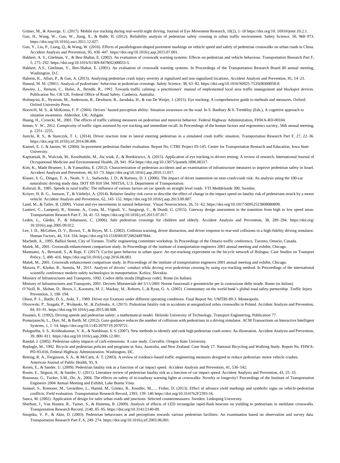Grüner, M., & Ansorge, U. (2017). Mobile eye tracking during real-world night driving. Journal of Eye Movement Research, 10(2), 1–1[8 https://doi.org/10. 16910/jemr.10.2.1.](https://doi.org/10.16910/jemr.10.2.1) Guo, H., Wang, W., Guo, W., Jiang, X., & Bubb, H. (2012). Reliability analysis of pedestrian safety crossing in urban traffic environment. Safety Science, 50, 968-973.

- [https://doi.org/10.1016/j.ssci.2011.12.027.](https://doi.org/10.1016/j.ssci.2011.12.027) Guo, Y., Liu, P., Liang, Q., & Wang, W. (2016). Effects of parallelogram-shaped pavement markings on vehicle speed and safety of pedestrian crosswalks on urban roads in China. Accident Analysis and Prevention, 95, 438–447[. https://doi.org/10.1016/j.aap.2015.07.001.](https://doi.org/10.1016/j.aap.2015.07.001)
- Hakkert, A. S., Gitelman, V., & Ben-Shabat, E. (2002). An evaluation of crosswalk warning systems: Effects on pedestrian and vehicle behaviour. Transportation Research Part F, 5, 275–292[. https://doi.org/10.1016/S1369-8478\(02\)00033-5.](https://doi.org/10.1016/S1369-8478(02)00033-5)
- Hakkert, A.S., Gitelman, V., Ben-Shabat, E. (2001). An evaluation of crosswalk warning systems. In Proceedings of the Transportation Research Board 80 annual meeting, Washington, D.C.

[Haleem, K., Alluri, P., & Gan, A. \(2015\). Analysing pedestrian crash injury severity at signalized and non-signalized locations.](http://refhub.elsevier.com/S1369-8478(18)30348-6/h0180) [Accident Analysis and Prevention, 81, 14–23.](http://refhub.elsevier.com/S1369-8478(18)30348-6/h0180)

Hamed, M. M. (2001). Analysis of pedestrians' behaviour at pedestrian crossings. Safety Science, 38, 63–82[. https://doi.org/10.1016/S0925-7535\(00\)00058-8.](https://doi.org/10.1016/S0925-7535(00)00058-8)

- Hawley, L., Henson, C., Hulse, A., Brindle, R., 1992. Towards traffic calming: a practitioners' manual of implemented local area traffic management and blackspot devices. Publication No. CR 126. Federal Office of Road Safety. Canberra, Australia.
- [Holmqvist, K., Nystrom, M., Andersson, R., Dewhurst, R., Jarodzka, H., & van De Weijer, J. \(2015\).](http://refhub.elsevier.com/S1369-8478(18)30348-6/h0195) [Eye tracking: A comprehensive guide to methods and measures. Oxford:](http://refhub.elsevier.com/S1369-8478(18)30348-6/h0195)  [Oxford University Press.](http://refhub.elsevier.com/S1369-8478(18)30348-6/h0195)
- [Horswill, M. S., & McKenna, F. P. \(2004\). Drivers' hazard perception ability: Situation awareness on the road. In S. Banbury & S. Tremblay \(Eds.\),](http://refhub.elsevier.com/S1369-8478(18)30348-6/h0200) [A cognitive approach to](http://refhub.elsevier.com/S1369-8478(18)30348-6/h0200)  [situation awareness. Aldershot, UK: Ashgate.](http://refhub.elsevier.com/S1369-8478(18)30348-6/h0200)
- Huang, H., Cynecki, M., 2001. The effects of traffic calming measures on pedestrian and motorist behavior. Federal Highway Administration, FHWA-RD-00104.
- Inman, V. W., 2012. Conspicuity of traffic signs assessed by eye tracking and immediate recall. In Proceedings of the human factors and ergonomics society, 56th annual meeting, p. 2251–2255.

Jurecki, R. S., & Stanczyk, T. L. (2014). Driver reaction time to lateral entering pedestrian in a simulated crash traffic situation. Transportation Research Part F, 27, 22–36. [https://doi.org/10.1016/j.trf.2014.08.006.](https://doi.org/10.1016/j.trf.2014.08.006)

- [Kannel, E. J., & Jansen, W. \(2004\).](http://refhub.elsevier.com/S1369-8478(18)30348-6/h0220) [In-pavement pedestrian flasher evaluation. Report No. CTRE Project 03-145. Center for Transportation Research and Education, Iowa State](http://refhub.elsevier.com/S1369-8478(18)30348-6/h0220)  [University.](http://refhub.elsevier.com/S1369-8478(18)30348-6/h0220)
- Kapitaniak, B., Walczak, M., Kosobudzki, M., Józ´wiak, Z., & Bortkiewicz, A. (2015). Application of eye tracking in drivers testing: A review of research. International Journal of Occupational Medicine and Environmental Health, 28, 941–95[4 https://doi.org/10.13075/ijomeh.1896.00317.](https://doi.org/10.13075/ijomeh.1896.00317)
- Kim, K., Made Brunner, I., & Yamashita, E. (2012). Characterization of pedestrian accidents and an examination of infrastructure measures to improve pedestrian safety in Israel. Accident Analysis and Prevention, 44, 63–73[. https://doi.org/10.1016/j.aap.2010.11.017.](https://doi.org/10.1016/j.aap.2010.11.017)
- [Klauer, S. G., Dingus, T. A., Neale, V. L., Sudweeks, J. D., & Ramsey, D. J. \(2006\).](http://refhub.elsevier.com/S1369-8478(18)30348-6/h0235) [The impact of driver inattention on near-crash/crash risk: An analysis using the 100-car](http://refhub.elsevier.com/S1369-8478(18)30348-6/h0235)  [naturalistic driving study data. DOT HS](http://refhub.elsevier.com/S1369-8478(18)30348-6/h0235) [810 594. NHTSA, U.S. Department of Transportation.](http://refhub.elsevier.com/S1369-8478(18)30348-6/h0235)

Kolsrud, B., 1985. Speeds in rural traffic: The influence of various factors on car speeds on straight level roads. VTI Meddelande 390, Sweden.

Kröyer, H. R. G., Jonsson, T., & Várhelyi, A. (2014). Relative fatality risk curve to describe the effect of change in the impact speed on fatality risk of pedestrians struck by a motor vehicle. Accident Analysis and Prevention, 62, 143–152[. https://doi.org/10.1016/j.aap.2013.09.007.](https://doi.org/10.1016/j.aap.2013.09.007)

Land, M., & Tatler, B. (2009). Vision and eye movements in natural behaviour. Visual Neuroscience, 26, 51–62[. https://doi.org/10.1017/S0952523808080899.](https://doi.org/10.1017/S0952523808080899)

Lantieri, C., Lamperti, R., Simone, A., Costa, M., Vignali, V., Sangiorgi, C., & Dondi, G. (2015). Gateway design assessment in the transition from high to low speed areas. Transportation Research Part F, 34, 41–53[. https://doi.org/10.1016/j.trf.2015.07.017.](https://doi.org/10.1016/j.trf.2015.07.017)

- Leden, L., Gårder, P., & Johansson, C. (2006). Safe pedestrian crossings for children and elderly. Accident Analysis and Prevention, 38, 289–294. [https://doi.org/](https://doi.org/10.1016/j.aap.2005.09.012)  [10.1016/j.aap.2005.09.012.](https://doi.org/10.1016/j.aap.2005.09.012)
- Lee, J. D., McGehee, D. V., Brown, T., & Reyes, M. L. (2002). Collision warning, driver distraction, and driver response to rear-end collisions in a high-fidelity driving simulator. Human Factors, 44, 314–334[. https://doi.org/10.1518/0018720024497844.](https://doi.org/10.1518/0018720024497844)
- Macbeth, A., 1995. Balliol Street, City of Toronto. Traffic engineering committee workshop. In Proceedings of the Ontario traffic conference, Toronto, Ontario, Canada.

Malek, M., 2001. Crosswalk enhancement comparison study. In Proceedings of the institute of transportation engineers 2001 annual meeting and exhibit, Chicago.

- Mantuano, A., Bernardi, S., & Rupi, F. (2017). Cyclist gaze behavior in urban space: An eye-tracking experiment on the bicycle network of Bologna. Case Studies on Transport Policy, 5, 408–416[. https://doi.org/10.1016/j.cstp.2016.06.001.](https://doi.org/10.1016/j.cstp.2016.06.001)
- Malek, M., 2001. Crosswalk enhancement comparison study. In Proceedings of the institute of transportation engineers 2001 annual meeting and exhibit, Chicago.
- Maxera, P., Kledus, R., Semela, M., 2015. Analysis of drivers' conduct while driving over pedestrian crossing by using eye-tracking method. In Proceedings of the international scientific conference modern safety technologies in transportation. Košice, Slovakia.
- Ministry of Infrastructures and Transports, 1992. Codice della strada [Highway code]. Rome (in Italian).
- Ministry of Infrastructures and Transports, 2001. Decreto Ministeriale del 5/11/2001 Norme funzionali e geometriche per la costruzione delle strade. Rome (in Italian).
- [O'Neill, B., Mohan, D., Breen, J., Koonstra, M. J., Mackay, M., Roberts, I., & Ryan, G. A. \(2002\). Commentary on the world bank's global road safety partnership. Traffic Injury](http://refhub.elsevier.com/S1369-8478(18)30348-6/h0305)  [Prevention,](http://refhub.elsevier.com/S1369-8478(18)30348-6/h0305) [3, 190–194.](http://refhub.elsevier.com/S1369-8478(18)30348-6/h0305)
- Olson, P. L., Battle, D. S., Aoki, T., 1989. Driver eye fixations under different operating conditions. Final Report No. UMTRI-89-3. Minneapolis.
- Olszewski, P., Szagała, P., Wolanski, M., & Zielinska, A. (2015). Pedestrian fatality risk in accidents at unsignalized zebra crosswalks in Poland. Accident Analysis and Prevention, 84, 83–91[. https://doi.org/10.1016/j.aap.2015.08.008.](https://doi.org/10.1016/j.aap.2015.08.008)

[Pasanen, E. \(1992\).](http://refhub.elsevier.com/S1369-8478(18)30348-6/h0320) [Driving speeds and pedestrian safety: a mathematical model. Helsinki University of Technology, Transport Engineering, Publication 77.](http://refhub.elsevier.com/S1369-8478(18)30348-6/h0320)

- Pomarjanschi, L., Dorr, M., & Barth, M. (2012). Gaze guidance reduces the number of collisions with pedestrians in a driving simulator. ACM Transactions on Interactive Intelligent Systems, 1, 1–14[. https://doi.org/10.1145/2070719.2070721.](https://doi.org/10.1145/2070719.2070721)
- Pulugurtha, S. S., Krishnakumar, V. K., & Nambisan, S. S. (2007). New methods to identify and rank high pedestrian crash zones: An illustration. Accident Analysis and Prevention, 39, 800–811[. https://doi.org/10.1016/j.aap.2006.12.001.](https://doi.org/10.1016/j.aap.2006.12.001)
- [Randal, J. \(2005\).](http://refhub.elsevier.com/S1369-8478(18)30348-6/h0335) [Pedestrian safety impacts of curb extensions: A case study. Corvallis: Oregon State University.](http://refhub.elsevier.com/S1369-8478(18)30348-6/h0335)
- Replogle, M., 1992. Bicycle and pedestrian policies and programs in Asia, Australia, and New Zealand: Case Study 17. National Bicycling and Walking Study. Report No. FHWA-PD-93-016. Federal Highway Administration. Washington, DC.
- [Retting, R. A., Fergusson, S. A., & McCartt, A. T. \(2003\). A review of evidence-based traffic engineering measures designed to reduce pedestrian–motor vehicle crashes.](http://refhub.elsevier.com/S1369-8478(18)30348-6/h0345) [American Journal of Public Health, 93,](http://refhub.elsevier.com/S1369-8478(18)30348-6/h0345) [9.](http://refhub.elsevier.com/S1369-8478(18)30348-6/h0345)

[Rosén, E., & Sander, U. \(2009\). Pedestrian fatality risk as a function of car impact speed.](http://refhub.elsevier.com/S1369-8478(18)30348-6/h0350) [Accident Analysis and Prevention, 41, 536–542.](http://refhub.elsevier.com/S1369-8478(18)30348-6/h0350)

- [Rosén, E., Stigson, H., & Sander, U. \(2011\). Literature review of pedestrian fatality risk as a function of car impact speed.](http://refhub.elsevier.com/S1369-8478(18)30348-6/h0355) [Accident Analysis and Prevention, 43, 25–33.](http://refhub.elsevier.com/S1369-8478(18)30348-6/h0355)
- Rousseau, G., Tucker, S.M., Do, A., 2004. The effects on safety of in-roadway warning lights at crosswalks: Novelty or longevity? Proceedings of the Institute of Transportation Engineers 2004 Annual Meeting and Exhibit, Lake Buena Vista.
- Samuel, S., Romoser, M., Gerardino, L., Hamid, M., Gómez, R., Knodler, M., ... Fisher, D. (2013). Effect of advance yield markings and symbolic signs on vehicle-pedestrian conflicts: Field evaluation. Transportation Research Record, 2393, 139–14[6 https://doi.org/10.3141%2F2393-16.](https://doi.org/10.3141%2F2393-16)

[Sanca, M. \(2002\).](http://refhub.elsevier.com/S1369-8478(18)30348-6/h0370) [Application of design for safer urban roads and junctions: Selected countermeasures. Sweden: Linkoping University.](http://refhub.elsevier.com/S1369-8478(18)30348-6/h0370)

- Sherbutt, J., Van Houten, R., Turner, S., & Huitema, B. (2009). Analysis of effects of LED rectangular rapid-flash beacons on yielding to pedestrians in multilane crosswalks. Transportation Research Record, 2140, 85–95[. https://doi.org/10.3141/2140-09.](https://doi.org/10.3141/2140-09)
- Sisopiku, V. P., & Akin, D. (2003). Pedestrian behaviours at and perceptions towards various pedestrian facilities: An examination based on observation and survey data. Transportation Research Part F, 6, 249–274[. https://doi.org/10.1016/j.trf.2003.06.001.](https://doi.org/10.1016/j.trf.2003.06.001)